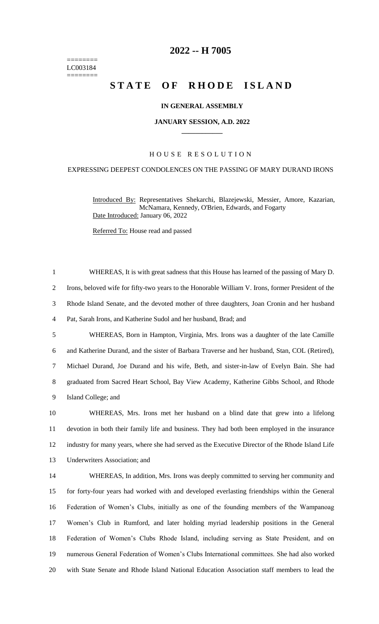======== LC003184 ========

# **-- H 7005**

# **STATE OF RHODE ISLAND**

## **IN GENERAL ASSEMBLY**

#### **JANUARY SESSION, A.D. 2022 \_\_\_\_\_\_\_\_\_\_\_\_**

# H O U S E R E S O L U T I O N

### EXPRESSING DEEPEST CONDOLENCES ON THE PASSING OF MARY DURAND IRONS

WHEREAS, It is with great sadness that this House has learned of the passing of Mary D.

Introduced By: Representatives Shekarchi, Blazejewski, Messier, Amore, Kazarian, McNamara, Kennedy, O'Brien, Edwards, and Fogarty Date Introduced: January 06, 2022

Referred To: House read and passed

 Irons, beloved wife for fifty-two years to the Honorable William V. Irons, former President of the Rhode Island Senate, and the devoted mother of three daughters, Joan Cronin and her husband Pat, Sarah Irons, and Katherine Sudol and her husband, Brad; and WHEREAS, Born in Hampton, Virginia, Mrs. Irons was a daughter of the late Camille and Katherine Durand, and the sister of Barbara Traverse and her husband, Stan, COL (Retired), Michael Durand, Joe Durand and his wife, Beth, and sister-in-law of Evelyn Bain. She had graduated from Sacred Heart School, Bay View Academy, Katherine Gibbs School, and Rhode Island College; and WHEREAS, Mrs. Irons met her husband on a blind date that grew into a lifelong devotion in both their family life and business. They had both been employed in the insurance industry for many years, where she had served as the Executive Director of the Rhode Island Life Underwriters Association; and WHEREAS, In addition, Mrs. Irons was deeply committed to serving her community and for forty-four years had worked with and developed everlasting friendships within the General Federation of Women's Clubs, initially as one of the founding members of the Wampanoag Women's Club in Rumford, and later holding myriad leadership positions in the General Federation of Women's Clubs Rhode Island, including serving as State President, and on numerous General Federation of Women's Clubs International committees. She had also worked with State Senate and Rhode Island National Education Association staff members to lead the